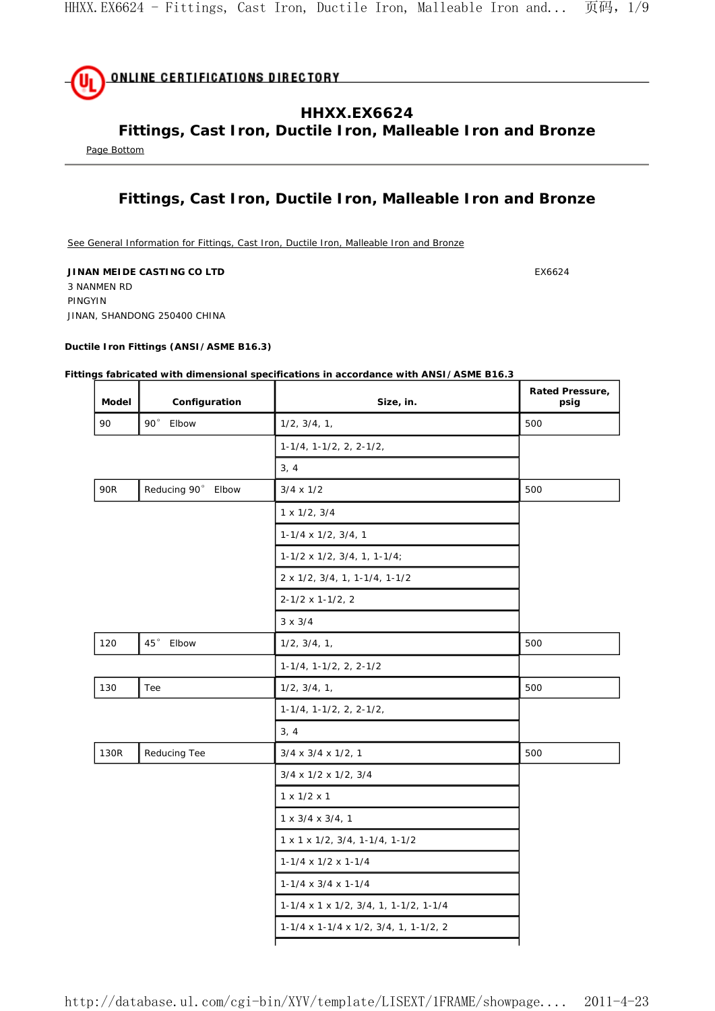

**Fittings, Cast Iron, Ductile Iron, Malleable Iron and Bronze** 

Page Bottom

# **Fittings, Cast Iron, Ductile Iron, Malleable Iron and Bronze**

See General Information for Fittings, Cast Iron, Ductile Iron, Malleable Iron and Bronze

**JINAN MEIDE CASTING CO LTD EX6624** 3 NANMEN RD PINGYIN JINAN, SHANDONG 250400 CHINA

#### **Ductile Iron Fittings (ANSI/ASME B16.3)**

#### **Fittings fabricated with dimensional specifications in accordance with ANSI/ASME B16.3**

| <b>Model</b> | Configuration         | Size, in.                                                  | Rated Pressure,<br>psig |
|--------------|-----------------------|------------------------------------------------------------|-------------------------|
| 90           | $90^{\circ}$<br>Elbow | $1/2$ , $3/4$ , $1$ ,                                      | 500                     |
|              |                       | $1-1/4$ , $1-1/2$ , $2$ , $2-1/2$ ,                        |                         |
|              |                       | 3, 4                                                       |                         |
| 90R          | Reducing 90° Elbow    | $3/4 \times 1/2$                                           | 500                     |
|              |                       | $1 \times 1/2$ , $3/4$                                     |                         |
|              |                       | $1-1/4 \times 1/2$ , $3/4$ , 1                             |                         |
|              |                       | $1-1/2 \times 1/2$ , $3/4$ , 1, $1-1/4$ ;                  |                         |
|              |                       | 2 x 1/2, 3/4, 1, 1-1/4, 1-1/2                              |                         |
|              |                       | $2 - 1/2 \times 1 - 1/2, 2$                                |                         |
|              |                       | $3 \times 3/4$                                             |                         |
| 120          | 45°<br>Elbow          | $1/2$ , $3/4$ , $1$ ,                                      | 500                     |
|              |                       | $1-1/4$ , $1-1/2$ , $2$ , $2-1/2$                          |                         |
| 130          | Tee                   | 1/2, 3/4, 1,                                               | 500                     |
|              |                       | $1-1/4$ , $1-1/2$ , $2$ , $2-1/2$ ,                        |                         |
|              |                       | 3, 4                                                       |                         |
| 130R         | Reducing Tee          | $3/4 \times 3/4 \times 1/2, 1$                             | 500                     |
|              |                       | 3/4 x 1/2 x 1/2, 3/4                                       |                         |
|              |                       | $1 \times 1/2 \times 1$                                    |                         |
|              |                       | $1 \times 3/4 \times 3/4, 1$                               |                         |
|              |                       | $1 \times 1 \times 1/2$ , $3/4$ , $1-1/4$ , $1-1/2$        |                         |
|              |                       | $1-1/4 \times 1/2 \times 1-1/4$                            |                         |
|              |                       | $1-1/4 \times 3/4 \times 1-1/4$                            |                         |
|              |                       | $1-1/4 \times 1 \times 1/2$ , $3/4$ , 1, $1-1/2$ , $1-1/4$ |                         |
|              |                       | 1-1/4 x 1-1/4 x 1/2, 3/4, 1, 1-1/2, 2                      |                         |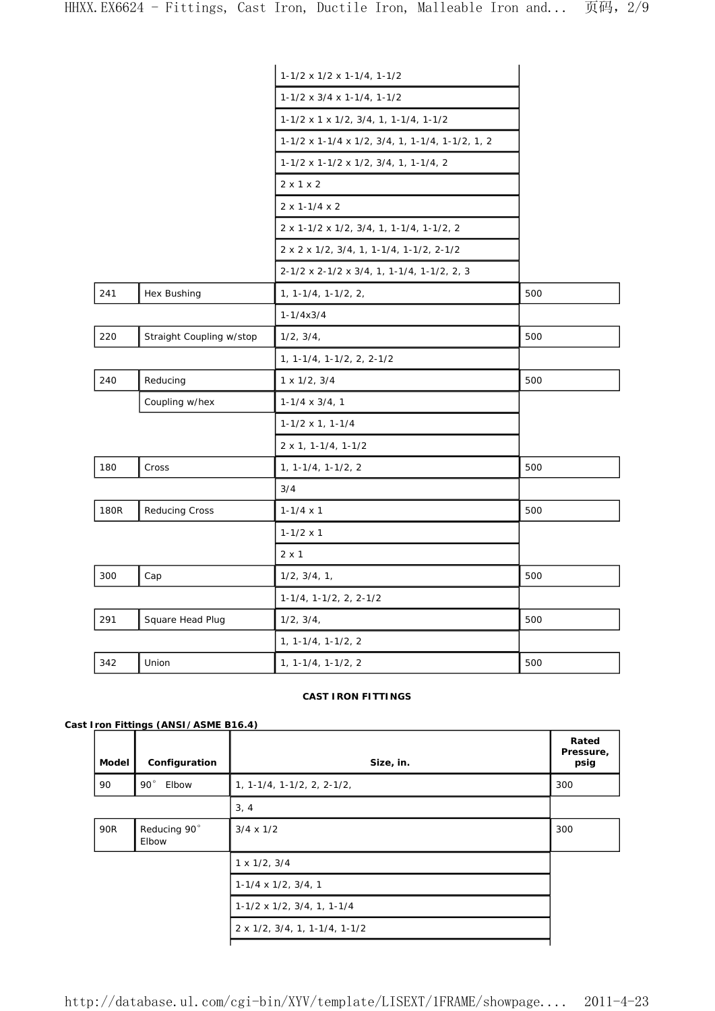|             |                          | $1-1/2 \times 1/2 \times 1-1/4$ , 1-1/2                    |     |
|-------------|--------------------------|------------------------------------------------------------|-----|
|             |                          | $1-1/2 \times 3/4 \times 1-1/4$ , 1-1/2                    |     |
|             |                          | $1-1/2 \times 1 \times 1/2$ , $3/4$ , 1, $1-1/4$ , $1-1/2$ |     |
|             |                          | 1-1/2 x 1-1/4 x 1/2, 3/4, 1, 1-1/4, 1-1/2, 1, 2            |     |
|             |                          | 1-1/2 x 1-1/2 x 1/2, 3/4, 1, 1-1/4, 2                      |     |
|             |                          | $2 \times 1 \times 2$                                      |     |
|             |                          | $2 \times 1 - 1/4 \times 2$                                |     |
|             |                          | 2 x 1-1/2 x 1/2, 3/4, 1, 1-1/4, 1-1/2, 2                   |     |
|             |                          | $2 \times 2 \times 1/2$ , $3/4$ , 1, 1-1/4, 1-1/2, 2-1/2   |     |
|             |                          | 2-1/2 x 2-1/2 x 3/4, 1, 1-1/4, 1-1/2, 2, 3                 |     |
| 241         | Hex Bushing              | $1, 1 - 1/4, 1 - 1/2, 2,$                                  | 500 |
|             |                          | $1 - 1/4x3/4$                                              |     |
| 220         | Straight Coupling w/stop | 1/2, 3/4,                                                  | 500 |
|             |                          | 1, 1-1/4, 1-1/2, 2, 2-1/2                                  |     |
| 240         | Reducing                 | $1 \times 1/2$ , $3/4$                                     | 500 |
|             | Coupling w/hex           | $1-1/4 \times 3/4$ , 1                                     |     |
|             |                          | $1-1/2 \times 1, 1-1/4$                                    |     |
|             |                          | $2 \times 1$ , 1-1/4, 1-1/2                                |     |
| 180         | Cross                    | $1, 1 - 1/4, 1 - 1/2, 2$                                   | 500 |
|             |                          | 3/4                                                        |     |
| <b>180R</b> | <b>Reducing Cross</b>    | $1 - 1/4 \times 1$                                         | 500 |
|             |                          | $1 - 1/2 \times 1$                                         |     |
|             |                          | $2 \times 1$                                               |     |
| 300         | Cap                      | $1/2$ , $3/4$ , $1$ ,                                      | 500 |
|             |                          | $1-1/4$ , $1-1/2$ , $2$ , $2-1/2$                          |     |
| 291         | Square Head Plug         | 1/2, 3/4,                                                  | 500 |
|             |                          | $1, 1 - 1/4, 1 - 1/2, 2$                                   |     |
| 342         | Union                    | $1, 1 - 1/4, 1 - 1/2, 2$                                   | 500 |

#### **CAST IRON FITTINGS**

## **Cast Iron Fittings (ANSI/ASME B16.4)**

| Model | Configuration                | Size, in.                                | Rated<br>Pressure,<br>psig |
|-------|------------------------------|------------------------------------------|----------------------------|
| 90    | $90^{\circ}$<br>Elbow        | $1, 1 - 1/4, 1 - 1/2, 2, 2 - 1/2,$       | 300                        |
|       |                              | 3, 4                                     |                            |
| 90R   | Reducing 90°<br><b>Elbow</b> | $3/4 \times 1/2$                         | 300                        |
|       |                              | $1 \times 1/2$ , $3/4$                   |                            |
|       |                              | $1-1/4 \times 1/2$ , $3/4$ , 1           |                            |
|       |                              | $1-1/2 \times 1/2$ , $3/4$ , 1, 1-1/4    |                            |
|       |                              | $2 \times 1/2$ , $3/4$ , 1, 1-1/4, 1-1/2 |                            |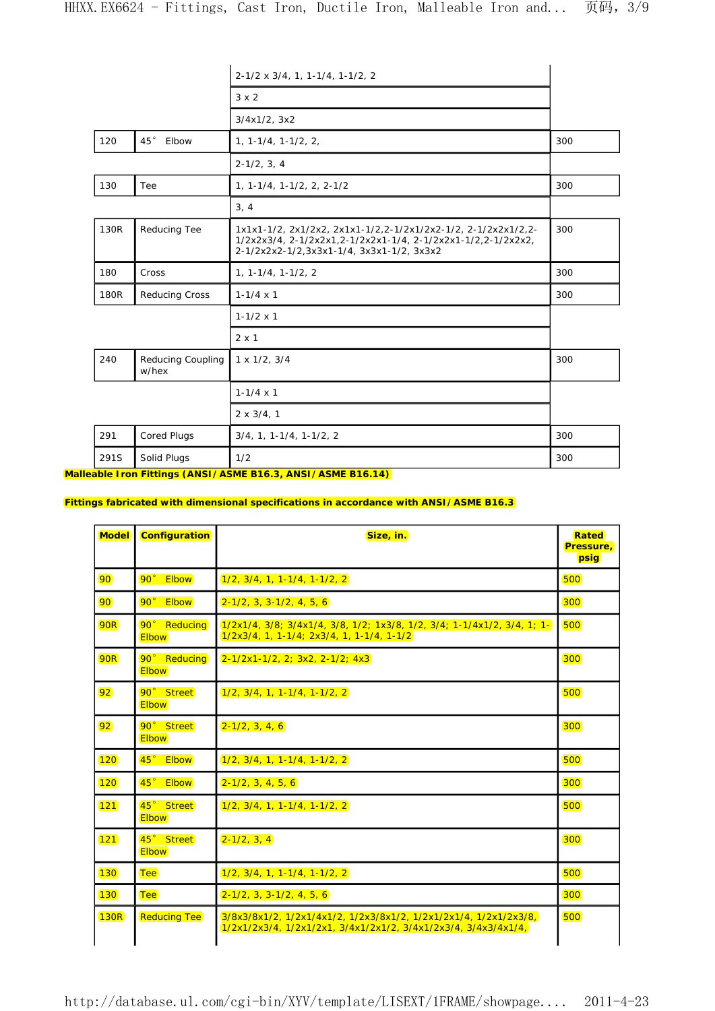|      |                                   | $2-1/2 \times 3/4$ , 1, 1-1/4, 1-1/2, 2                                                                                                                                      |     |
|------|-----------------------------------|------------------------------------------------------------------------------------------------------------------------------------------------------------------------------|-----|
|      |                                   | $3 \times 2$                                                                                                                                                                 |     |
|      |                                   | 3/4x1/2, 3x2                                                                                                                                                                 |     |
| 120  | $45\,^{\circ}$<br>Elbow           | $1, 1 - 1/4, 1 - 1/2, 2,$                                                                                                                                                    | 300 |
|      |                                   | $2-1/2, 3, 4$                                                                                                                                                                |     |
| 130  | Tee                               | $1, 1 - 1/4, 1 - 1/2, 2, 2 - 1/2$                                                                                                                                            | 300 |
|      |                                   | 3, 4                                                                                                                                                                         |     |
| 130R | Reducing Tee                      | 1x1x1-1/2, 2x1/2x2, 2x1x1-1/2,2-1/2x1/2x2-1/2, 2-1/2x2x1/2,2-<br>1/2x2x3/4, 2-1/2x2x1, 2-1/2x2x1-1/4, 2-1/2x2x1-1/2, 2-1/2x2x2,<br>2-1/2x2x2-1/2,3x3x1-1/4, 3x3x1-1/2, 3x3x2 | 300 |
| 180  | Cross                             | $1, 1 - 1/4, 1 - 1/2, 2$                                                                                                                                                     | 300 |
| 180R | Reducing Cross                    | $1 - 1/4 \times 1$                                                                                                                                                           | 300 |
|      |                                   | $1 - 1/2 \times 1$                                                                                                                                                           |     |
|      |                                   | $2 \times 1$                                                                                                                                                                 |     |
| 240  | <b>Reducing Coupling</b><br>w/hex | $1 \times 1/2$ , $3/4$                                                                                                                                                       | 300 |
|      |                                   | $1 - 1/4 \times 1$                                                                                                                                                           |     |
|      |                                   | $2 \times 3/4, 1$                                                                                                                                                            |     |
| 291  | Cored Plugs                       | $3/4, 1, 1-1/4, 1-1/2, 2$                                                                                                                                                    | 300 |
| 291S | Solid Plugs                       | 1/2                                                                                                                                                                          | 300 |

**Malleable Iron Fittings (ANSI/ASME B16.3, ANSI/ASME B16.14)** 

## **Fittings fabricated with dimensional specifications in accordance with ANSI/ASME B16.3**

| <b>Model</b> | <b>Configuration</b>         | Size, in.                                                                                                                          | Rated<br>Pressure,<br>psig |
|--------------|------------------------------|------------------------------------------------------------------------------------------------------------------------------------|----------------------------|
| 90           | $90^\circ$<br><b>Elbow</b>   | $1/2, 3/4, 1, 1-1/4, 1-1/2, 2$                                                                                                     | 500                        |
| 90           | 90° Elbow                    | $2-1/2$ , 3, 3-1/2, 4, 5, 6                                                                                                        | 300                        |
| 90R          | 90° Reducing<br><b>Elbow</b> | 1/2x1/4, 3/8; 3/4x1/4, 3/8, 1/2; 1x3/8, 1/2, 3/4; 1-1/4x1/2, 3/4, 1; 1-<br>$1/2x3/4$ , 1, 1-1/4; $2x3/4$ , 1, 1-1/4, 1-1/2         | 500                        |
| <b>90R</b>   | 90° Reducing<br><b>Elbow</b> | $2 - 1/2x1 - 1/2$ , 2; 3x2, 2-1/2; 4x3                                                                                             | 300                        |
| 92           | 90° Street<br><b>Elbow</b>   | $1/2, 3/4, 1, 1-1/4, 1-1/2, 2$                                                                                                     | 500                        |
| 92           | 90° Street<br><b>Elbow</b>   | $2 - 1/2, 3, 4, 6$                                                                                                                 | 300                        |
| 120          | $45^\circ$<br><b>Elbow</b>   | $1/2, 3/4, 1, 1-1/4, 1-1/2, 2$                                                                                                     | 500                        |
| 120          | $45^\circ$<br><b>Elbow</b>   | $2 - 1/2, 3, 4, 5, 6$                                                                                                              | 300                        |
| 121          | 45° Street<br><b>Elbow</b>   | $1/2$ , $3/4$ , 1, 1-1/4, 1-1/2, 2                                                                                                 | 500                        |
| 121          | 45° Street<br><b>Elbow</b>   | $2 - 1/2, 3, 4$                                                                                                                    | 300                        |
| 130          | <b>Tee</b>                   | $1/2, 3/4, 1, 1-1/4, 1-1/2, 2$                                                                                                     | 500                        |
| 130          | <b>Tee</b>                   | $2-1/2$ , 3, 3-1/2, 4, 5, 6                                                                                                        | 300                        |
| <b>130R</b>  | <b>Reducing Tee</b>          | 3/8x3/8x1/2, 1/2x1/4x1/2, 1/2x3/8x1/2, 1/2x1/2x1/4, 1/2x1/2x3/8,<br>1/2x1/2x3/4, 1/2x1/2x1, 3/4x1/2x1/2, 3/4x1/2x3/4, 3/4x3/4x1/4, | 500                        |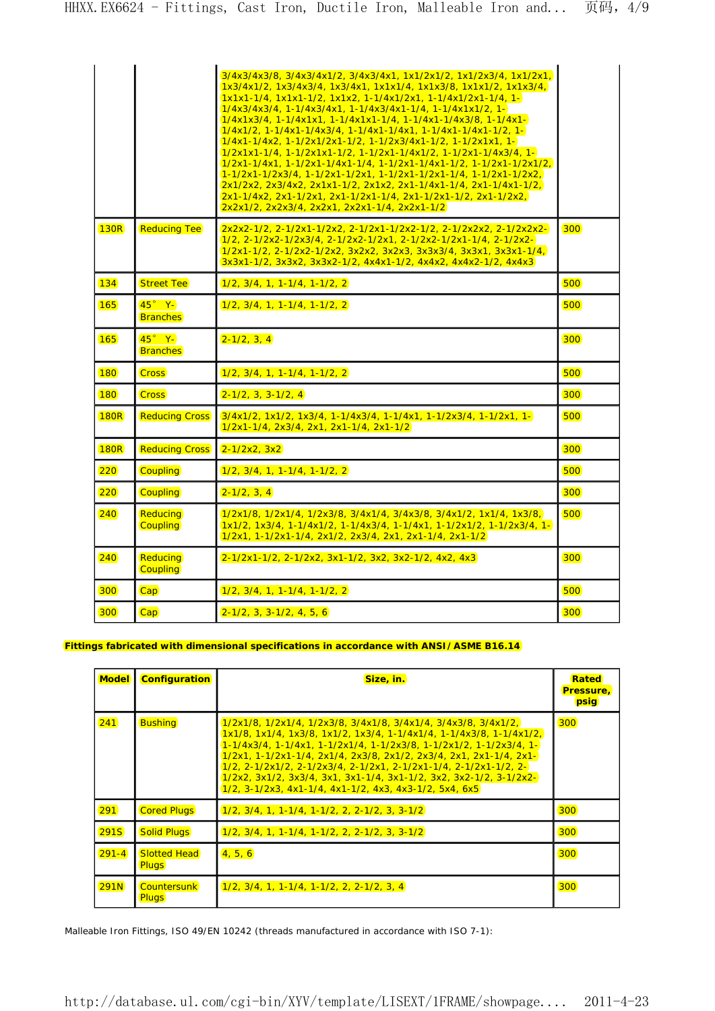|             |                                    | 3/4x3/4x3/8, 3/4x3/4x1/2, 3/4x3/4x1, 1x1/2x1/2, 1x1/2x3/4, 1x1/2x1,<br>1x3/4x1/2, 1x3/4x3/4, 1x3/4x1, 1x1x1/4, 1x1x3/8, 1x1x1/2, 1x1x3/4,<br>1x1x1-1/4, 1x1x1-1/2, 1x1x2, 1-1/4x1/2x1, 1-1/4x1/2x1-1/4, 1-<br>$1/4x3/4x3/4$ , 1-1/4x3/4x1, 1-1/4x3/4x1-1/4, 1-1/4x1x1/2, 1-<br>$1/4x1x3/4$ , 1-1/4x1x1, 1-1/4x1x1-1/4, 1-1/4x1-1/4x3/8, 1-1/4x1-<br>1/4x1/2, 1-1/4x1-1/4x3/4, 1-1/4x1-1/4x1, 1-1/4x1-1/4x1-1/2, 1-<br>1/4x1-1/4x2, 1-1/2x1/2x1-1/2, 1-1/2x3/4x1-1/2, 1-1/2x1x1, 1-<br><u>1/2x1x1-1/4, 1-1/2x1x1-1/2, 1-1/2x1-1/4x1/2, 1-1/2x1-1/4x3/4, 1-</u><br>1/2x1-1/4x1, 1-1/2x1-1/4x1-1/4, 1-1/2x1-1/4x1-1/2, 1-1/2x1-1/2x1/2,<br>1-1/2x1-1/2x3/4, 1-1/2x1-1/2x1, 1-1/2x1-1/2x1-1/4, 1-1/2x1-1/2x2,<br>2x1/2x2, 2x3/4x2, 2x1x1-1/2, 2x1x2, 2x1-1/4x1-1/4, 2x1-1/4x1-1/2,<br>2x1-1/4x2, 2x1-1/2x1, 2x1-1/2x1-1/4, 2x1-1/2x1-1/2, 2x1-1/2x2,<br>2x2x1/2, 2x2x3/4, 2x2x1, 2x2x1-1/4, 2x2x1-1/2 |     |
|-------------|------------------------------------|---------------------------------------------------------------------------------------------------------------------------------------------------------------------------------------------------------------------------------------------------------------------------------------------------------------------------------------------------------------------------------------------------------------------------------------------------------------------------------------------------------------------------------------------------------------------------------------------------------------------------------------------------------------------------------------------------------------------------------------------------------------------------------------------------------------------------------------------------------------------------------------------------|-----|
| <b>130R</b> | <b>Reducing Tee</b>                | 2x2x2-1/2, 2-1/2x1-1/2x2, 2-1/2x1-1/2x2-1/2, 2-1/2x2x2, 2-1/2x2x2-<br>1/2, 2-1/2x2-1/2x3/4, 2-1/2x2-1/2x1, 2-1/2x2-1/2x1-1/4, 2-1/2x2-<br>1/2x1-1/2, 2-1/2x2-1/2x2, 3x2x2, 3x2x3, 3x3x3/4, 3x3x1, 3x3x1-1/4,<br>3x3x1-1/2, 3x3x2, 3x3x2-1/2, 4x4x1-1/2, 4x4x2, 4x4x2-1/2, 4x4x3                                                                                                                                                                                                                                                                                                                                                                                                                                                                                                                                                                                                                   | 300 |
| 134         | <b>Street Tee</b>                  | $1/2$ , $3/4$ , 1, 1-1/4, 1-1/2, 2                                                                                                                                                                                                                                                                                                                                                                                                                                                                                                                                                                                                                                                                                                                                                                                                                                                                | 500 |
| 165         | $45^\circ$ Y-<br><b>Branches</b>   | 1/2, 3/4, 1, 1-1/4, 1-1/2, 2                                                                                                                                                                                                                                                                                                                                                                                                                                                                                                                                                                                                                                                                                                                                                                                                                                                                      | 500 |
| 165         | $45^\circ$ Y-<br><b>Branches</b>   | $2 - 1/2, 3, 4$                                                                                                                                                                                                                                                                                                                                                                                                                                                                                                                                                                                                                                                                                                                                                                                                                                                                                   | 300 |
| <b>180</b>  | <b>Cross</b>                       | $1/2, 3/4, 1, 1-1/4, 1-1/2, 2$                                                                                                                                                                                                                                                                                                                                                                                                                                                                                                                                                                                                                                                                                                                                                                                                                                                                    | 500 |
| 180         | <b>Cross</b>                       | $2 - 1/2$ , 3, 3 - 1/2, 4                                                                                                                                                                                                                                                                                                                                                                                                                                                                                                                                                                                                                                                                                                                                                                                                                                                                         | 300 |
| <b>180R</b> | <b>Reducing Cross</b>              | $3/4x1/2$ , $1x1/2$ , $1x3/4$ , $1-1/4x3/4$ , $1-1/4x1$ , $1-1/2x3/4$ , $1-1/2x1$ , $1-$<br>$1/2x1-1/4$ , $2x3/4$ , $2x1$ , $2x1-1/4$ , $2x1-1/2$                                                                                                                                                                                                                                                                                                                                                                                                                                                                                                                                                                                                                                                                                                                                                 | 500 |
| <b>180R</b> | <b>Reducing Cross</b>              | $2 - 1/2x^2$ , $3x^2$                                                                                                                                                                                                                                                                                                                                                                                                                                                                                                                                                                                                                                                                                                                                                                                                                                                                             | 300 |
| 220         | <b>Coupling</b>                    | $1/2, 3/4, 1, 1-1/4, 1-1/2, 2$                                                                                                                                                                                                                                                                                                                                                                                                                                                                                                                                                                                                                                                                                                                                                                                                                                                                    | 500 |
| 220         | <b>Coupling</b>                    | $2 - 1/2, 3, 4$                                                                                                                                                                                                                                                                                                                                                                                                                                                                                                                                                                                                                                                                                                                                                                                                                                                                                   | 300 |
| 240         | Reducing<br><b>Coupling</b>        | 1/2x1/8, 1/2x1/4, 1/2x3/8, 3/4x1/4, 3/4x3/8, 3/4x1/2, 1x1/4, 1x3/8,<br>1x1/2, 1x3/4, 1-1/4x1/2, 1-1/4x3/4, 1-1/4x1, 1-1/2x1/2, 1-1/2x3/4, 1-<br>1/2x1, 1-1/2x1-1/4, 2x1/2, 2x3/4, 2x1, 2x1-1/4, 2x1-1/2                                                                                                                                                                                                                                                                                                                                                                                                                                                                                                                                                                                                                                                                                           | 500 |
| 240         | <b>Reducing</b><br><b>Coupling</b> | $2-1/2x1-1/2$ , $2-1/2x2$ , $3x1-1/2$ , $3x2$ , $3x2-1/2$ , $4x2$ , $4x3$                                                                                                                                                                                                                                                                                                                                                                                                                                                                                                                                                                                                                                                                                                                                                                                                                         | 300 |
| 300         | Cap                                | $1/2, 3/4, 1, 1-1/4, 1-1/2, 2$                                                                                                                                                                                                                                                                                                                                                                                                                                                                                                                                                                                                                                                                                                                                                                                                                                                                    | 500 |
| 300         | Cap <sup></sup>                    | $2 - 1/2$ , 3, 3 - $1/2$ , 4, 5, 6                                                                                                                                                                                                                                                                                                                                                                                                                                                                                                                                                                                                                                                                                                                                                                                                                                                                | 300 |

### **Fittings fabricated with dimensional specifications in accordance with ANSI/ASME B16.14**

| <b>Model</b> | <b>Configuration</b>                | Size, in.                                                                                                                                                                                                                                                                                                                                                                                                                                                                                                                                             | Rated<br>Pressure,<br>psig |
|--------------|-------------------------------------|-------------------------------------------------------------------------------------------------------------------------------------------------------------------------------------------------------------------------------------------------------------------------------------------------------------------------------------------------------------------------------------------------------------------------------------------------------------------------------------------------------------------------------------------------------|----------------------------|
| 241          | <b>Bushing</b>                      | <u>1/2x1/8, 1/2x1/4, 1/2x3/8, 3/4x1/8, 3/4x1/4, 3/4x3/8, 3/4x1/2, 1</u><br>1x1/8, 1x1/4, 1x3/8, 1x1/2, 1x3/4, 1-1/4x1/4, 1-1/4x3/8, 1-1/4x1/2,<br>1-1/4x3/4, 1-1/4x1, 1-1/2x1/4, 1-1/2x3/8, 1-1/2x1/2, 1-1/2x3/4, 1-<br>1/2x1, 1-1/2x1-1/4, 2x1/4, 2x3/8, 2x1/2, 2x3/4, 2x1, 2x1-1/4, 2x1-<br>$1/2$ , $2-1/2x1/2$ , $2-1/2x3/4$ , $2-1/2x1$ , $2-1/2x1-1/4$ , $2-1/2x1-1/2$ , $2-1$<br>$1/2x2$ , $3x1/2$ , $3x3/4$ , $3x1$ , $3x1-1/4$ , $3x1-1/2$ , $3x2$ , $3x2-1/2$ , $3-1/2x2-1$<br><u>1/2, 3-1/2x3, 4x1-1/4, 4x1-1/2, 4x3, 4x3-1/2, 5x4, 6x5</u> | 300                        |
| 291          | <b>Cored Plugs</b>                  | $1/2, 3/4, 1, 1-1/4, 1-1/2, 2, 2-1/2, 3, 3-1/2$                                                                                                                                                                                                                                                                                                                                                                                                                                                                                                       | 300                        |
| <b>291S</b>  | <b>Solid Plugs</b>                  | 1/2, 3/4, 1, 1-1/4, 1-1/2, 2, 2-1/2, 3, 3-1/2                                                                                                                                                                                                                                                                                                                                                                                                                                                                                                         | 300                        |
| $291 - 4$    | <b>Slotted Head</b><br><b>Plugs</b> | 4, 5, 6                                                                                                                                                                                                                                                                                                                                                                                                                                                                                                                                               | 300                        |
| <b>291N</b>  | <b>Countersunk</b><br><b>Plugs</b>  | $1/2, 3/4, 1, 1-1/4, 1-1/2, 2, 2-1/2, 3, 4$                                                                                                                                                                                                                                                                                                                                                                                                                                                                                                           | 300                        |

Malleable Iron Fittings, ISO 49/EN 10242 (threads manufactured in accordance with ISO 7-1):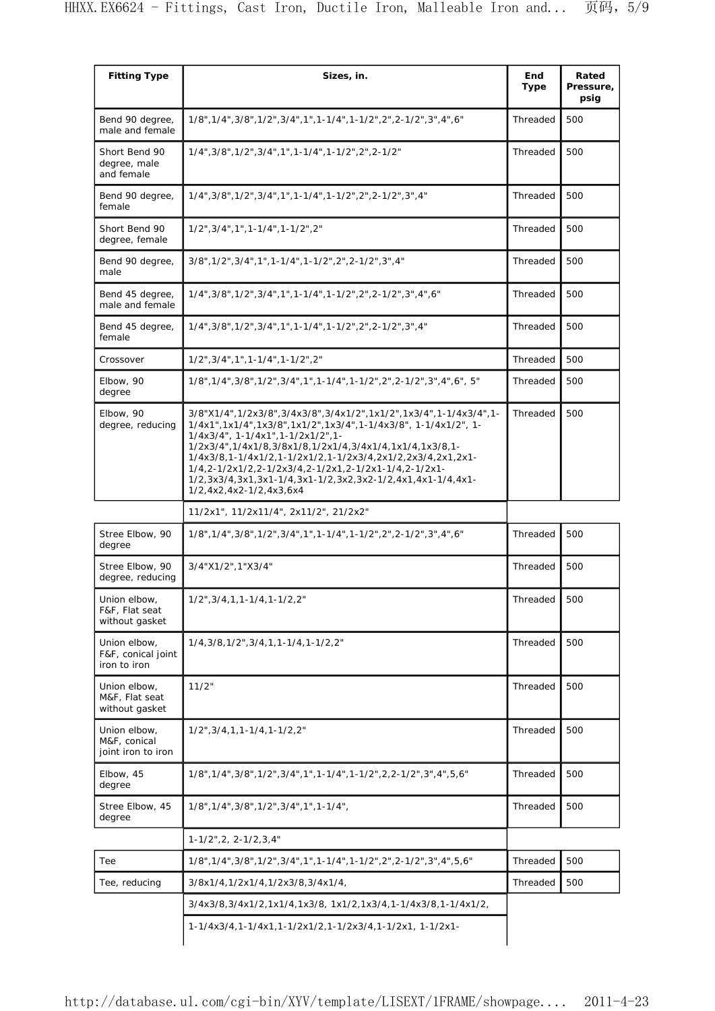| <b>Fitting Type</b>                                | Sizes, in.                                                                                                                                                                                                                                                                                                                                                                                                                                        | End<br><b>Type</b> | Rated<br>Pressure,<br>psig |
|----------------------------------------------------|---------------------------------------------------------------------------------------------------------------------------------------------------------------------------------------------------------------------------------------------------------------------------------------------------------------------------------------------------------------------------------------------------------------------------------------------------|--------------------|----------------------------|
| Bend 90 degree,<br>male and female                 | 1/8", 1/4", 3/8", 1/2", 3/4", 1", 1-1/4", 1-1/2", 2", 2-1/2", 3", 4", 6"                                                                                                                                                                                                                                                                                                                                                                          | Threaded           | 500                        |
| Short Bend 90<br>degree, male<br>and female        | 1/4", 3/8", 1/2", 3/4", 1", 1-1/4", 1-1/2", 2", 2-1/2"                                                                                                                                                                                                                                                                                                                                                                                            | Threaded           | 500                        |
| Bend 90 degree,<br>female                          | 1/4", 3/8", 1/2", 3/4", 1', 1-1/4", 1-1/2", 2", 2-1/2", 3", 4"                                                                                                                                                                                                                                                                                                                                                                                    | Threaded           | 500                        |
| Short Bend 90<br>degree, female                    | 1/2", 3/4", 1", 1-1/4", 1-1/2", 2"                                                                                                                                                                                                                                                                                                                                                                                                                | Threaded           | 500                        |
| Bend 90 degree,<br>male                            | 3/8", 1/2", 3/4", 1', 1-1/4", 1-1/2", 2", 2-1/2", 3", 4"                                                                                                                                                                                                                                                                                                                                                                                          | Threaded           | 500                        |
| Bend 45 degree,<br>male and female                 | 1/4", 3/8", 1/2", 3/4", 1', 1-1/4", 1-1/2", 2", 2-1/2", 3", 4", 6"                                                                                                                                                                                                                                                                                                                                                                                | Threaded           | 500                        |
| Bend 45 degree,<br>female                          | 1/4", 3/8", 1/2", 3/4", 1', 1-1/4", 1-1/2", 2", 2-1/2", 3", 4"                                                                                                                                                                                                                                                                                                                                                                                    | Threaded           | 500                        |
| Crossover                                          | 1/2", 3/4", 1", 1-1/4", 1-1/2", 2"                                                                                                                                                                                                                                                                                                                                                                                                                | Threaded           | 500                        |
| Elbow, 90<br>degree                                | 1/8", 1/4", 3/8", 1/2", 3/4", 1", 1-1/4", 1-1/2", 2", 2-1/2", 3", 4", 6", 5"                                                                                                                                                                                                                                                                                                                                                                      | Threaded           | 500                        |
| Elbow, 90<br>degree, reducing                      | 3/8"X1/4",1/2x3/8",3/4x3/8",3/4x1/2",1x1/2",1x3/4",1-1/4x3/4",1-<br>1/4x1",1x1/4",1x3/8",1x1/2",1x3/4",1-1/4x3/8", 1-1/4x1/2", 1-<br>1/4x3/4", 1-1/4x1", 1-1/2x1/2", 1-<br>1/2x3/4",1/4x1/8,3/8x1/8,1/2x1/4,3/4x1/4,1x1/4,1x3/8,1-<br>1/4x3/8,1-1/4x1/2,1-1/2x1/2,1-1/2x3/4,2x1/2,2x3/4,2x1,2x1-<br>1/4,2-1/2x1/2,2-1/2x3/4,2-1/2x1,2-1/2x1-1/4,2-1/2x1-<br>1/2,3x3/4,3x1,3x1-1/4,3x1-1/2,3x2,3x2-1/2,4x1,4x1-1/4,4x1-<br>1/2,4x2,4x2-1/2,4x3,6x4 | Threaded           | 500                        |
|                                                    | 11/2x1", 11/2x11/4", 2x11/2", 21/2x2"                                                                                                                                                                                                                                                                                                                                                                                                             |                    |                            |
| Stree Elbow, 90<br>degree                          | 1/8", 1/4", 3/8", 1/2", 3/4", 1", 1-1/4", 1-1/2", 2", 2-1/2", 3", 4", 6"                                                                                                                                                                                                                                                                                                                                                                          | Threaded           | 500                        |
| Stree Elbow, 90<br>degree, reducing                | 3/4"X1/2", 1"X3/4"                                                                                                                                                                                                                                                                                                                                                                                                                                | Threaded           | 500                        |
| Union elbow,<br>F&F, Flat seat<br>without gasket   | 1/2", 3/4, 1, 1-1/4, 1-1/2, 2"                                                                                                                                                                                                                                                                                                                                                                                                                    | Threaded           | 500                        |
| Union elbow,<br>F&F, conical joint<br>iron to iron | 1/4,3/8,1/2",3/4,1,1-1/4,1-1/2,2"                                                                                                                                                                                                                                                                                                                                                                                                                 | Threaded           | 500                        |
| Union elbow.<br>M&F, Flat seat<br>without gasket   | 11/2"                                                                                                                                                                                                                                                                                                                                                                                                                                             | Threaded           | 500                        |
| Union elbow,<br>M&F, conical<br>joint iron to iron | $1/2$ ", $3/4$ , $1$ , $1-1/4$ , $1-1/2$ , $2$ "                                                                                                                                                                                                                                                                                                                                                                                                  | Threaded           | 500                        |
| Elbow, 45<br>degree                                | 1/8", 1/4", 3/8", 1/2", 3/4", 1', 1-1/4", 1-1/2", 2, 2-1/2", 3", 4", 5, 6"                                                                                                                                                                                                                                                                                                                                                                        | Threaded           | 500                        |
| Stree Elbow, 45<br>degree                          | 1/8", 1/4", 3/8", 1/2", 3/4", 1", 1-1/4",                                                                                                                                                                                                                                                                                                                                                                                                         | Threaded           | 500                        |
|                                                    | $1 - 1/2$ ", 2, $2 - 1/2$ , 3, 4"                                                                                                                                                                                                                                                                                                                                                                                                                 |                    |                            |
| Tee                                                | 1/8", 1/4", 3/8", 1/2", 3/4", 1-1/4", 1-1/2", 2", 2-1/2", 3", 4", 5, 6"                                                                                                                                                                                                                                                                                                                                                                           | Threaded           | 500                        |
| Tee, reducing                                      | 3/8x1/4,1/2x1/4,1/2x3/8,3/4x1/4,                                                                                                                                                                                                                                                                                                                                                                                                                  | Threaded           | 500                        |
|                                                    | 3/4x3/8,3/4x1/2,1x1/4,1x3/8, 1x1/2,1x3/4,1-1/4x3/8,1-1/4x1/2,                                                                                                                                                                                                                                                                                                                                                                                     |                    |                            |
|                                                    | 1-1/4x3/4,1-1/4x1,1-1/2x1/2,1-1/2x3/4,1-1/2x1, 1-1/2x1-                                                                                                                                                                                                                                                                                                                                                                                           |                    |                            |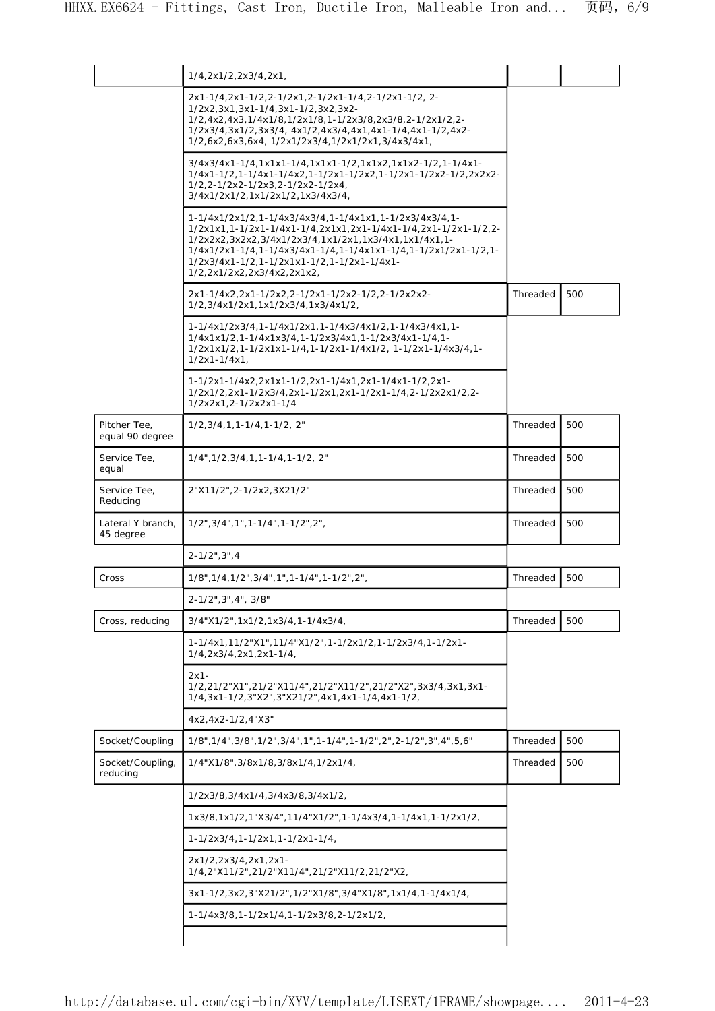|                                 | 1/4,2x1/2,2x3/4,2x1,                                                                                                                                                                                                                                                                                                           |          |     |
|---------------------------------|--------------------------------------------------------------------------------------------------------------------------------------------------------------------------------------------------------------------------------------------------------------------------------------------------------------------------------|----------|-----|
|                                 | 2x1-1/4,2x1-1/2,2-1/2x1,2-1/2x1-1/4,2-1/2x1-1/2, 2-<br>1/2x2,3x1,3x1-1/4,3x1-1/2,3x2,3x2-<br>1/2,4x2,4x3,1/4x1/8,1/2x1/8,1-1/2x3/8,2x3/8,2-1/2x1/2,2-<br>1/2x3/4,3x1/2,3x3/4, 4x1/2,4x3/4,4x1,4x1-1/4,4x1-1/2,4x2-<br>1/2,6x2,6x3,6x4, 1/2x1/2x3/4,1/2x1/2x1,3/4x3/4x1,                                                        |          |     |
|                                 | 3/4x3/4x1-1/4,1x1x1-1/4,1x1x1-1/2,1x1x2,1x1x2-1/2,1-1/4x1-<br>1/4x1-1/2,1-1/4x1-1/4x2,1-1/2x1-1/2x2,1-1/2x1-1/2x2-1/2,2x2x2-<br>1/2,2-1/2x2-1/2x3,2-1/2x2-1/2x4,<br>3/4x1/2x1/2,1x1/2x1/2,1x3/4x3/4,                                                                                                                           |          |     |
|                                 | 1-1/4x1/2x1/2,1-1/4x3/4x3/4,1-1/4x1x1,1-1/2x3/4x3/4,1-<br>1/2x1x1,1-1/2x1-1/4x1-1/4,2x1x1,2x1-1/4x1-1/4,2x1-1/2x1-1/2,2-<br>1/2x2x2,3x2x2,3/4x1/2x3/4,1x1/2x1,1x3/4x1,1x1/4x1,1-<br>1/4x1/2x1-1/4,1-1/4x3/4x1-1/4,1-1/4x1x1-1/4,1-1/2x1/2x1-1/2,1-<br>1/2x3/4x1-1/2,1-1/2x1x1-1/2,1-1/2x1-1/4x1-<br>1/2,2x1/2x2,2x3/4x2,2x1x2, |          |     |
|                                 | 2x1-1/4x2,2x1-1/2x2,2-1/2x1-1/2x2-1/2,2-1/2x2x2-<br>1/2,3/4x1/2x1,1x1/2x3/4,1x3/4x1/2,                                                                                                                                                                                                                                         | Threaded | 500 |
|                                 | 1-1/4x1/2x3/4,1-1/4x1/2x1,1-1/4x3/4x1/2,1-1/4x3/4x1,1-<br>1/4x1x1/2,1-1/4x1x3/4,1-1/2x3/4x1,1-1/2x3/4x1-1/4,1-<br>1/2x1x1/2,1-1/2x1x1-1/4,1-1/2x1-1/4x1/2, 1-1/2x1-1/4x3/4,1-<br>$1/2x1 - 1/4x1$ ,                                                                                                                             |          |     |
|                                 | 1-1/2x1-1/4x2,2x1x1-1/2,2x1-1/4x1,2x1-1/4x1-1/2,2x1-<br>1/2x1/2,2x1-1/2x3/4,2x1-1/2x1,2x1-1/2x1-1/4,2-1/2x2x1/2,2-<br>1/2x2x1,2-1/2x2x1-1/4                                                                                                                                                                                    |          |     |
| Pitcher Tee,<br>equal 90 degree | $1/2, 3/4, 1, 1-1/4, 1-1/2, 2"$                                                                                                                                                                                                                                                                                                | Threaded | 500 |
| Service Tee,<br>equal           | 1/4", 1/2, 3/4, 1, 1-1/4, 1-1/2, 2"                                                                                                                                                                                                                                                                                            | Threaded | 500 |
| Service Tee,<br>Reducing        | 2"X11/2", 2-1/2x2, 3X21/2"                                                                                                                                                                                                                                                                                                     | Threaded | 500 |
| Lateral Y branch.<br>45 degree  | $1/2$ ", $3/4$ ", $1$ ", $1-1/4$ ", $1-1/2$ ", $2$ ",                                                                                                                                                                                                                                                                          | Threaded | 500 |
|                                 | $2 - 1/2$ ", $3$ ", $4$                                                                                                                                                                                                                                                                                                        |          |     |
| Cross                           | 1/8", 1/4, 1/2", 3/4", 1", 1-1/4", 1-1/2", 2",                                                                                                                                                                                                                                                                                 | Threaded | 500 |
|                                 | 2-1/2", 3", 4", 3/8"                                                                                                                                                                                                                                                                                                           |          |     |
| Cross, reducing                 | $3/4$ "X1/2", 1x1/2, 1x3/4, 1-1/4x3/4,                                                                                                                                                                                                                                                                                         | Threaded | 500 |
|                                 | 1-1/4x1,11/2"X1",11/4"X1/2",1-1/2x1/2,1-1/2x3/4,1-1/2x1-<br>1/4,2x3/4,2x1,2x1-1/4,                                                                                                                                                                                                                                             |          |     |
|                                 | $2x1-$<br>1/2,21/2"X1",21/2"X11/4",21/2"X11/2",21/2"X2",3x3/4,3x1,3x1-<br>1/4,3x1-1/2,3"X2",3"X21/2",4x1,4x1-1/4,4x1-1/2,                                                                                                                                                                                                      |          |     |
|                                 | 4x2,4x2-1/2,4"X3"                                                                                                                                                                                                                                                                                                              |          |     |
| Socket/Coupling                 | 1/8", 1/4", 3/8", 1/2", 3/4", 1-1/4", 1-1/2", 2", 2-1/2", 3", 4", 5, 6"                                                                                                                                                                                                                                                        | Threaded | 500 |
| Socket/Coupling,<br>reducing    | 1/4"X1/8", 3/8x1/8, 3/8x1/4, 1/2x1/4,                                                                                                                                                                                                                                                                                          | Threaded | 500 |
|                                 | 1/2x3/8,3/4x1/4,3/4x3/8,3/4x1/2,                                                                                                                                                                                                                                                                                               |          |     |
|                                 | 1x3/8,1x1/2,1"X3/4",11/4"X1/2",1-1/4x3/4,1-1/4x1,1-1/2x1/2,                                                                                                                                                                                                                                                                    |          |     |
|                                 | $1 - 1/2x3/4, 1 - 1/2x1, 1 - 1/2x1 - 1/4,$                                                                                                                                                                                                                                                                                     |          |     |
|                                 | 2x1/2,2x3/4,2x1,2x1-<br>,21/4,2"X11/2",21/2"X11/4",21/2"X11/2,21/2"X2                                                                                                                                                                                                                                                          |          |     |
|                                 | 3x1-1/2,3x2,3"X21/2",1/2"X1/8",3/4"X1/8",1x1/4,1-1/4x1/4,                                                                                                                                                                                                                                                                      |          |     |
|                                 | 1-1/4x3/8,1-1/2x1/4,1-1/2x3/8,2-1/2x1/2,                                                                                                                                                                                                                                                                                       |          |     |
|                                 |                                                                                                                                                                                                                                                                                                                                |          |     |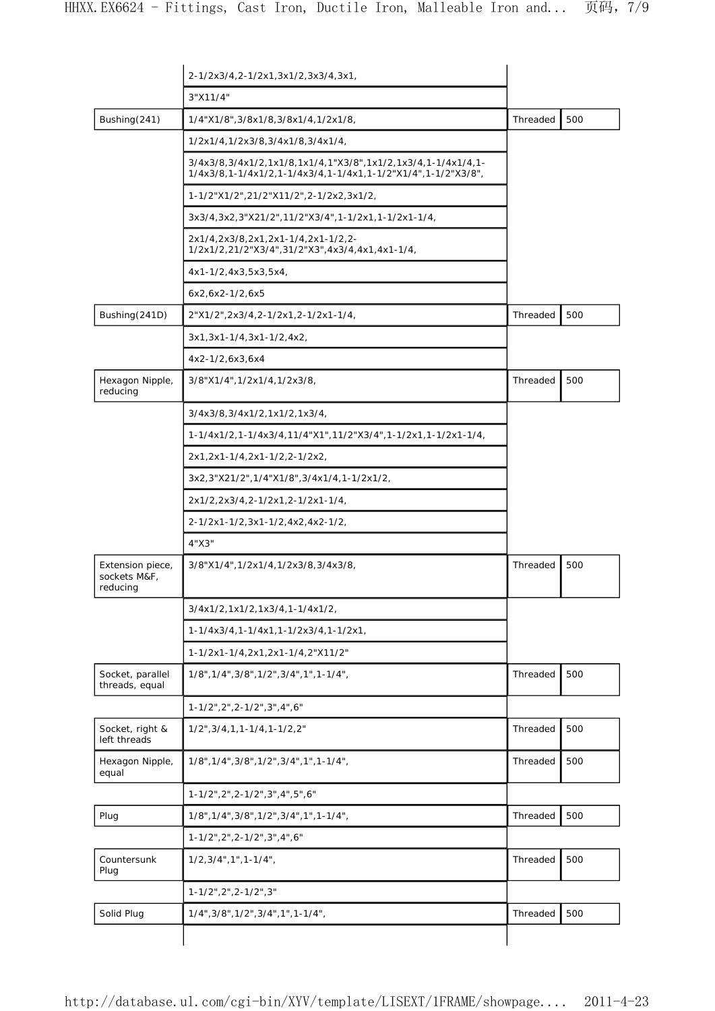|                                              | 2-1/2x3/4,2-1/2x1,3x1/2,3x3/4,3x1,                                                                                           |          |     |
|----------------------------------------------|------------------------------------------------------------------------------------------------------------------------------|----------|-----|
|                                              | 3"X11/4"                                                                                                                     |          |     |
| Bushing(241)                                 | 1/4"X1/8", 3/8x1/8, 3/8x1/4, 1/2x1/8,                                                                                        | Threaded | 500 |
|                                              | 1/2x1/4,1/2x3/8,3/4x1/8,3/4x1/4,                                                                                             |          |     |
|                                              | 3/4x3/8,3/4x1/2,1x1/8,1x1/4,1"X3/8",1x1/2,1x3/4,1-1/4x1/4,1-<br>1/4x3/8,1-1/4x1/2,1-1/4x3/4,1-1/4x1,1-1/2"X1/4",1-1/2"X3/8", |          |     |
|                                              | 1-1/2"X1/2",21/2"X11/2",2-1/2x2,3x1/2,                                                                                       |          |     |
|                                              | 3x3/4,3x2,3"X21/2",11/2"X3/4",1-1/2x1,1-1/2x1-1/4,                                                                           |          |     |
|                                              | 2x1/4,2x3/8,2x1,2x1-1/4,2x1-1/2,2-<br>1/2x1/2,21/2"X3/4",31/2"X3",4x3/4,4x1,4x1-1/4,                                         |          |     |
|                                              | 4x1-1/2,4x3,5x3,5x4,                                                                                                         |          |     |
|                                              | $6x2, 6x2 - 1/2, 6x5$                                                                                                        |          |     |
| Bushing(241D)                                | 2"X1/2",2x3/4,2-1/2x1,2-1/2x1-1/4,                                                                                           | Threaded | 500 |
|                                              | $3x1, 3x1-1/4, 3x1-1/2, 4x2,$                                                                                                |          |     |
|                                              | $4x2-1/2,6x3,6x4$                                                                                                            |          |     |
| Hexagon Nipple,<br>reducing                  | 3/8"X1/4", 1/2x1/4, 1/2x3/8,                                                                                                 | Threaded | 500 |
|                                              | 3/4x3/8,3/4x1/2,1x1/2,1x3/4,                                                                                                 |          |     |
|                                              | 1-1/4x1/2,1-1/4x3/4,11/4"X1",11/2"X3/4",1-1/2x1,1-1/2x1-1/4,                                                                 |          |     |
|                                              | 2x1,2x1-1/4,2x1-1/2,2-1/2x2,                                                                                                 |          |     |
|                                              | 3x2,3"X21/2",1/4"X1/8",3/4x1/4,1-1/2x1/2,                                                                                    |          |     |
|                                              | 2x1/2,2x3/4,2-1/2x1,2-1/2x1-1/4,                                                                                             |          |     |
|                                              | 2-1/2x1-1/2,3x1-1/2,4x2,4x2-1/2,                                                                                             |          |     |
|                                              | 4"X3"                                                                                                                        |          |     |
| Extension piece,<br>sockets M&F,<br>reducing | 3/8"X1/4", 1/2x1/4, 1/2x3/8, 3/4x3/8,                                                                                        | Threaded | 500 |
|                                              | $3/4x1/2, 1x1/2, 1x3/4, 1-1/4x1/2,$                                                                                          |          |     |
|                                              | 1-1/4x3/4,1-1/4x1,1-1/2x3/4,1-1/2x1,                                                                                         |          |     |
|                                              | 1-1/2x1-1/4,2x1,2x1-1/4,2"X11/2"                                                                                             |          |     |
| Socket, parallel<br>threads, equal           | 1/8", 1/4", 3/8", 1/2", 3/4", 1", 1-1/4",                                                                                    | Threaded | 500 |
|                                              | 1-1/2", 2", 2-1/2", 3", 4", 6"                                                                                               |          |     |
| Socket, right &<br>left threads              | $1/2$ ", $3/4$ , $1$ , $1 - 1/4$ , $1 - 1/2$ , $2$ "                                                                         | Threaded | 500 |
| Hexagon Nipple,<br>equal                     | 1/8", 1/4", 3/8", 1/2", 3/4", 1", 1-1/4",                                                                                    | Threaded | 500 |
|                                              | 1-1/2", 2", 2-1/2", 3", 4", 5", 6"                                                                                           |          |     |
| Plug                                         | 1/8", 1/4", 3/8", 1/2", 3/4", 1", 1-1/4",                                                                                    | Threaded | 500 |
|                                              | 1-1/2", 2", 2-1/2", 3", 4", 6"                                                                                               |          |     |
| Countersunk<br>Plug                          | $1/2, 3/4$ ", $1$ ", $1 - 1/4$ ",                                                                                            | Threaded | 500 |
|                                              | 1-1/2", 2", 2-1/2", 3"                                                                                                       |          |     |
| Solid Plug                                   | $1/4$ ", $3/8$ ", $1/2$ ", $3/4$ ", $1$ ", $1-1/4$ ",                                                                        | Threaded | 500 |
|                                              |                                                                                                                              |          |     |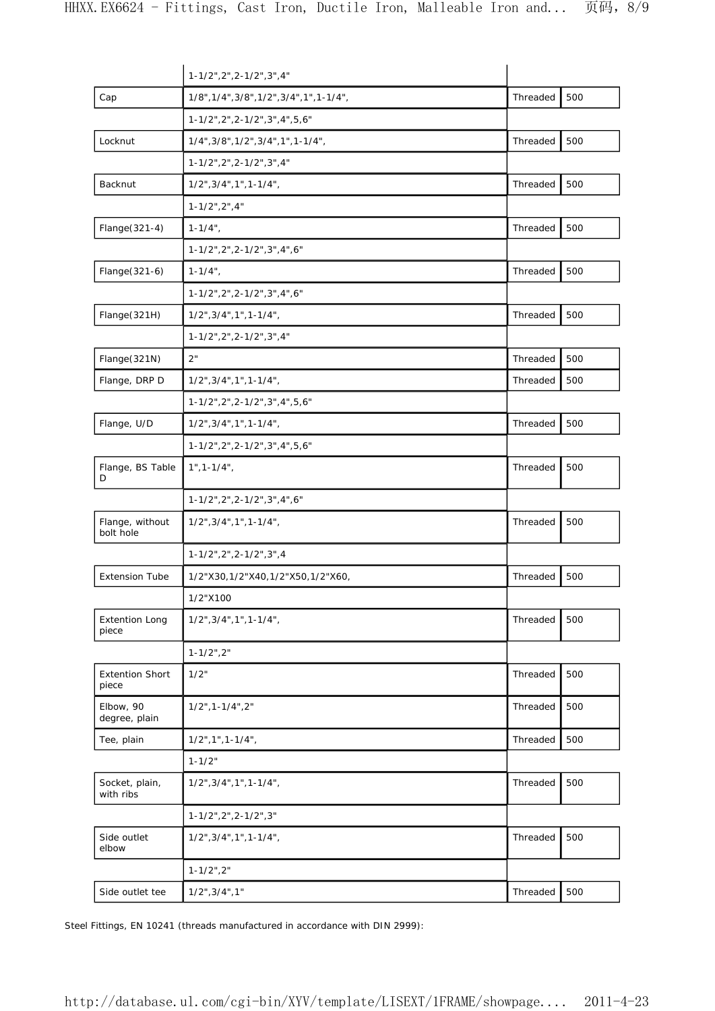|                                 | 1-1/2", 2", 2-1/2", 3", 4"                |          |     |
|---------------------------------|-------------------------------------------|----------|-----|
| Cap                             | 1/8", 1/4", 3/8", 1/2", 3/4", 1", 1-1/4", | Threaded | 500 |
|                                 | 1-1/2", 2", 2-1/2", 3", 4", 5, 6"         |          |     |
| Locknut                         | 1/4", 3/8", 1/2", 3/4", 1", 1-1/4",       | Threaded | 500 |
|                                 | 1-1/2", 2", 2-1/2", 3", 4"                |          |     |
| Backnut                         | $1/2$ ", $3/4$ ", $1$ ", $1-1/4$ ",       | Threaded | 500 |
|                                 | $1 - 1/2$ ", 2", 4"                       |          |     |
| Flange(321-4)                   | $1 - 1/4$ ",                              | Threaded | 500 |
|                                 | 1-1/2", 2", 2-1/2", 3", 4", 6"            |          |     |
| Flange(321-6)                   | $1 - 1/4$ ",                              | Threaded | 500 |
|                                 | 1-1/2", 2", 2-1/2", 3", 4", 6"            |          |     |
| Flange(321H)                    | $1/2$ ", $3/4$ ", $1$ ", $1-1/4$ ",       | Threaded | 500 |
|                                 | 1-1/2", 2", 2-1/2", 3", 4"                |          |     |
| Flange(321N)                    | 2"                                        | Threaded | 500 |
| Flange, DRP D                   | $1/2$ ", $3/4$ ", $1$ ", $1-1/4$ ",       | Threaded | 500 |
|                                 | 1-1/2", 2", 2-1/2", 3", 4", 5, 6"         |          |     |
| Flange, U/D                     | $1/2$ ", $3/4$ ", $1$ ", $1-1/4$ ",       | Threaded | 500 |
|                                 | 1-1/2", 2", 2-1/2", 3", 4", 5, 6"         |          |     |
| Flange, BS Table<br>D           | $1", 1 - 1/4",$                           | Threaded | 500 |
|                                 | 1-1/2", 2", 2-1/2", 3", 4", 6"            |          |     |
| Flange, without<br>bolt hole    | $1/2$ ", $3/4$ ", $1$ ", $1-1/4$ ",       | Threaded | 500 |
|                                 | $1 - 1/2$ ", 2", 2-1/2", 3", 4            |          |     |
| <b>Extension Tube</b>           | 1/2"X30,1/2"X40,1/2"X50,1/2"X60,          | Threaded | 500 |
|                                 | 1/2"X100                                  |          |     |
| <b>Extention Long</b><br>piece  | $1/2$ ", $3/4$ ", $1$ ", $1-1/4$ ",       | Threaded | 500 |
|                                 | $1 - 1/2$ ", $2$ "                        |          |     |
| <b>Extention Short</b><br>piece | 1/2"                                      | Threaded | 500 |
| Elbow, 90<br>degree, plain      | $1/2$ ", 1-1/4", 2"                       | Threaded | 500 |
| Tee, plain                      | $1/2$ ", $1$ ", $1-1/4$ ",                | Threaded | 500 |
|                                 | $1 - 1/2"$                                |          |     |
| Socket, plain,<br>with ribs     | $1/2$ ", $3/4$ ", $1$ ", $1-1/4$ ",       | Threaded | 500 |
|                                 | $1-1/2$ ", 2", 2-1/2", 3"                 |          |     |
| Side outlet<br>elbow            | $1/2$ ", $3/4$ ", $1$ ", $1-1/4$ ",       | Threaded | 500 |
|                                 | $1 - 1/2$ ", 2"                           |          |     |
| Side outlet tee                 | $1/2$ ", $3/4$ ", $1$ "                   | Threaded | 500 |

Steel Fittings, EN 10241 (threads manufactured in accordance with DIN 2999):